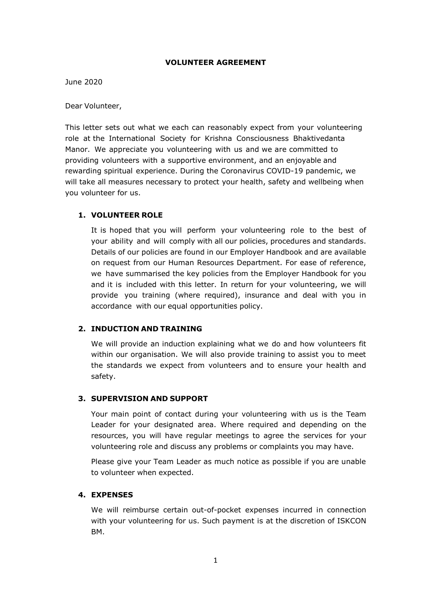### **VOLUNTEER AGREEMENT**

June 2020

Dear Volunteer,

This letter sets out what we each can reasonably expect from your volunteering role at the International Society for Krishna Consciousness Bhaktivedanta Manor. We appreciate you volunteering with us and we are committed to providing volunteers with a supportive environment, and an enjoyable and rewarding spiritual experience. During the Coronavirus COVID-19 pandemic, we will take all measures necessary to protect your health, safety and wellbeing when you volunteer for us.

# **1. VOLUNTEER ROLE**

It is hoped that you will perform your volunteering role to the best of your ability and will comply with all our policies, procedures and standards. Details of our policies are found in our Employer Handbook and are available on request from our Human Resources Department. For ease of reference, we have summarised the key policies from the Employer Handbook for you and it is included with this letter. In return for your volunteering, we will provide you training (where required), insurance and deal with you in accordance with our equal opportunities policy.

### **2. INDUCTION AND TRAINING**

We will provide an induction explaining what we do and how volunteers fit within our organisation. We will also provide training to assist you to meet the standards we expect from volunteers and to ensure your health and safety.

### **3. SUPERVISION AND SUPPORT**

Your main point of contact during your volunteering with us is the Team Leader for your designated area. Where required and depending on the resources, you will have regular meetings to agree the services for your volunteering role and discuss any problems or complaints you may have.

Please give your Team Leader as much notice as possible if you are unable to volunteer when expected.

### **4. EXPENSES**

We will reimburse certain out-of-pocket expenses incurred in connection with your volunteering for us. Such payment is at the discretion of ISKCON BM.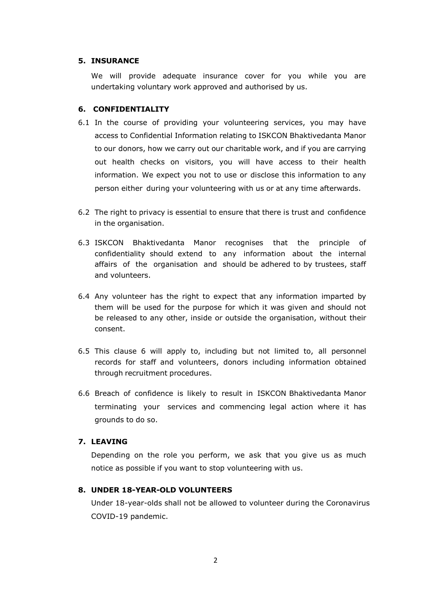#### **5. INSURANCE**

We will provide adequate insurance cover for you while you are undertaking voluntary work approved and authorised by us.

#### **6. CONFIDENTIALITY**

- 6.1 In the course of providing your volunteering services, you may have access to Confidential Information relating to ISKCON Bhaktivedanta Manor to our donors, how we carry out our charitable work, and if you are carrying out health checks on visitors, you will have access to their health information. We expect you not to use or disclose this information to any person either during your volunteering with us or at any time afterwards.
- 6.2 The right to privacy is essential to ensure that there is trust and confidence in the organisation.
- 6.3 ISKCON Bhaktivedanta Manor recognises that the principle of confidentiality should extend to any information about the internal affairs of the organisation and should be adhered to by trustees, staff and volunteers.
- 6.4 Any volunteer has the right to expect that any information imparted by them will be used for the purpose for which it was given and should not be released to any other, inside or outside the organisation, without their consent.
- 6.5 This clause 6 will apply to, including but not limited to, all personnel records for staff and volunteers, donors including information obtained through recruitment procedures.
- 6.6 Breach of confidence is likely to result in ISKCON Bhaktivedanta Manor terminating your services and commencing legal action where it has grounds to do so.

### **7. LEAVING**

Depending on the role you perform, we ask that you give us as much notice as possible if you want to stop volunteering with us.

#### **8. UNDER 18-YEAR-OLD VOLUNTEERS**

Under 18-year-olds shall not be allowed to volunteer during the Coronavirus COVID-19 pandemic.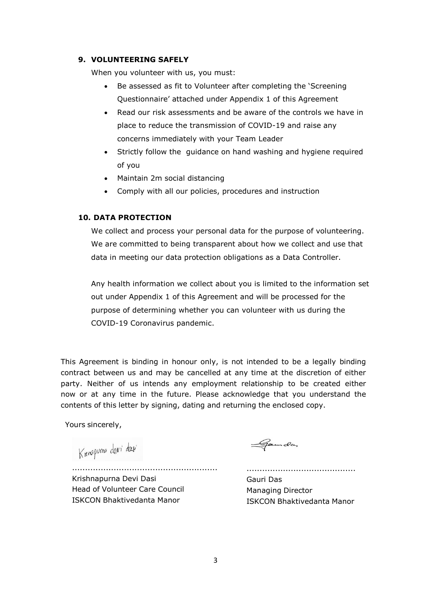# **9. VOLUNTEERING SAFELY**

When you volunteer with us, you must:

- Be assessed as fit to Volunteer after completing the 'Screening Questionnaire' attached under Appendix 1 of this Agreement
- Read our risk assessments and be aware of the controls we have in place to reduce the transmission of COVID-19 and raise any concerns immediately with your Team Leader
- Strictly follow the [guidance on hand washing and hygiene](https://www.nhs.uk/live-well/healthy-body/best-way-to-wash-your-hands/) required of you
- Maintain 2m social distancing
- Comply with all our policies, procedures and instruction

# **10. DATA PROTECTION**

We collect and process your personal data for the purpose of volunteering. We are committed to being transparent about how we collect and use that data in meeting our data protection obligations as a Data Controller.

Any health information we collect about you is limited to the information set out under Appendix 1 of this Agreement and will be processed for the purpose of determining whether you can volunteer with us during the COVID-19 Coronavirus pandemic.

This Agreement is binding in honour only, is not intended to be a legally binding contract between us and may be cancelled at any time at the discretion of either party. Neither of us intends any employment relationship to be created either now or at any time in the future. Please acknowledge that you understand the contents of this letter by signing, dating and returning the enclosed copy.

Yours sincerely,

Knoguma davi davi

Gamdas

........................................................ Krishnapurna Devi Dasi Head of Volunteer Care Council ISKCON Bhaktivedanta Manor

Gauri Das Managing Director ISKCON Bhaktivedanta Manor

..........................................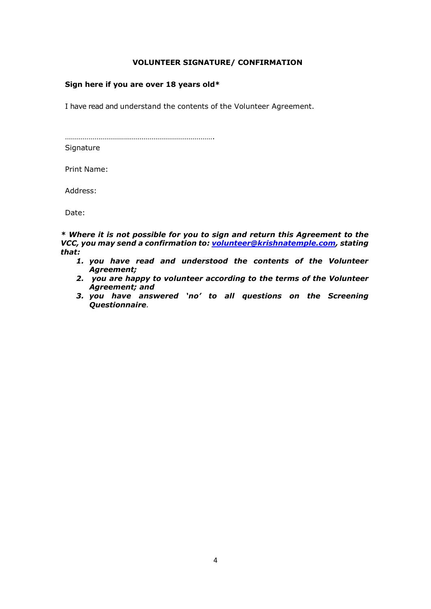### **VOLUNTEER SIGNATURE/ CONFIRMATION**

### **Sign here if you are over 18 years old\***

I have read and understand the contents of the Volunteer Agreement.

………………………………………………………………….

**Signature** 

Print Name:

Address:

Date:

*\* Where it is not possible for you to sign and return this Agreement to the VCC, you may send a confirmation to: [volunteer@krishnatemple.com,](mailto:volunteer@krishnatemple.com) stating that:*

- *1. you have read and understood the contents of the Volunteer Agreement;*
- *2. you are happy to volunteer according to the terms of the Volunteer Agreement; and*
- *3. you have answered 'no' to all questions on the Screening Questionnaire.*